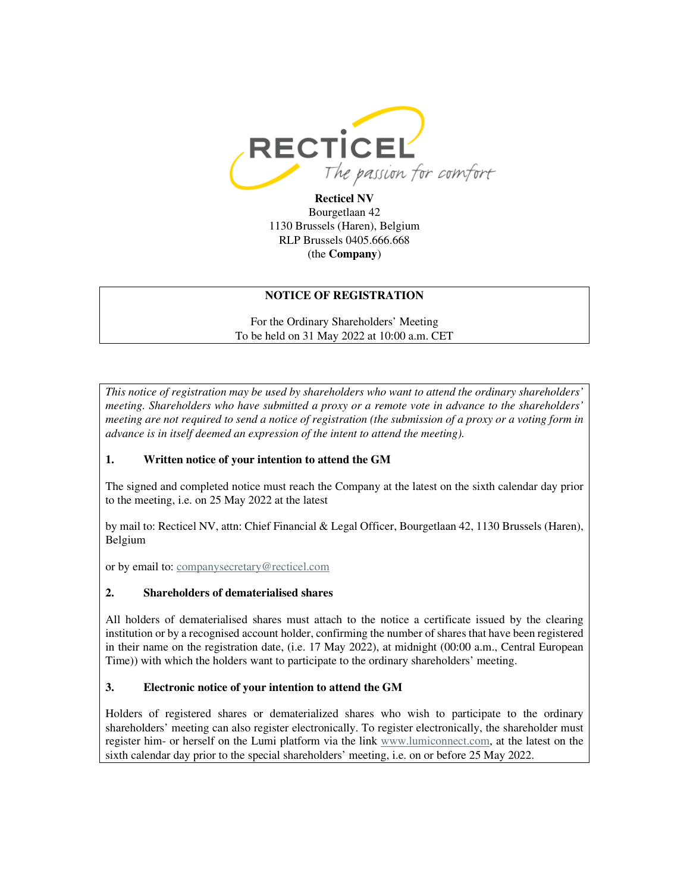

**Recticel NV** Bourgetlaan 42 1130 Brussels (Haren), Belgium RLP Brussels 0405.666.668 (the **Company**)

### **NOTICE OF REGISTRATION**

For the Ordinary Shareholders' Meeting To be held on 31 May 2022 at 10:00 a.m. CET

*This notice of registration may be used by shareholders who want to attend the ordinary shareholders' meeting. Shareholders who have submitted a proxy or a remote vote in advance to the shareholders' meeting are not required to send a notice of registration (the submission of a proxy or a voting form in advance is in itself deemed an expression of the intent to attend the meeting).* 

## **1. Written notice of your intention to attend the GM**

The signed and completed notice must reach the Company at the latest on the sixth calendar day prior to the meeting, i.e. on 25 May 2022 at the latest

by mail to: Recticel NV, attn: Chief Financial & Legal Officer, Bourgetlaan 42, 1130 Brussels (Haren), Belgium

or by email to: companysecretary@recticel.com

#### **2. Shareholders of dematerialised shares**

All holders of dematerialised shares must attach to the notice a certificate issued by the clearing institution or by a recognised account holder, confirming the number of shares that have been registered in their name on the registration date, (i.e. 17 May 2022), at midnight (00:00 a.m., Central European Time)) with which the holders want to participate to the ordinary shareholders' meeting.

## **3. Electronic notice of your intention to attend the GM**

Holders of registered shares or dematerialized shares who wish to participate to the ordinary shareholders' meeting can also register electronically. To register electronically, the shareholder must register him- or herself on the Lumi platform via the link www.lumiconnect.com, at the latest on the sixth calendar day prior to the special shareholders' meeting, i.e. on or before 25 May 2022.